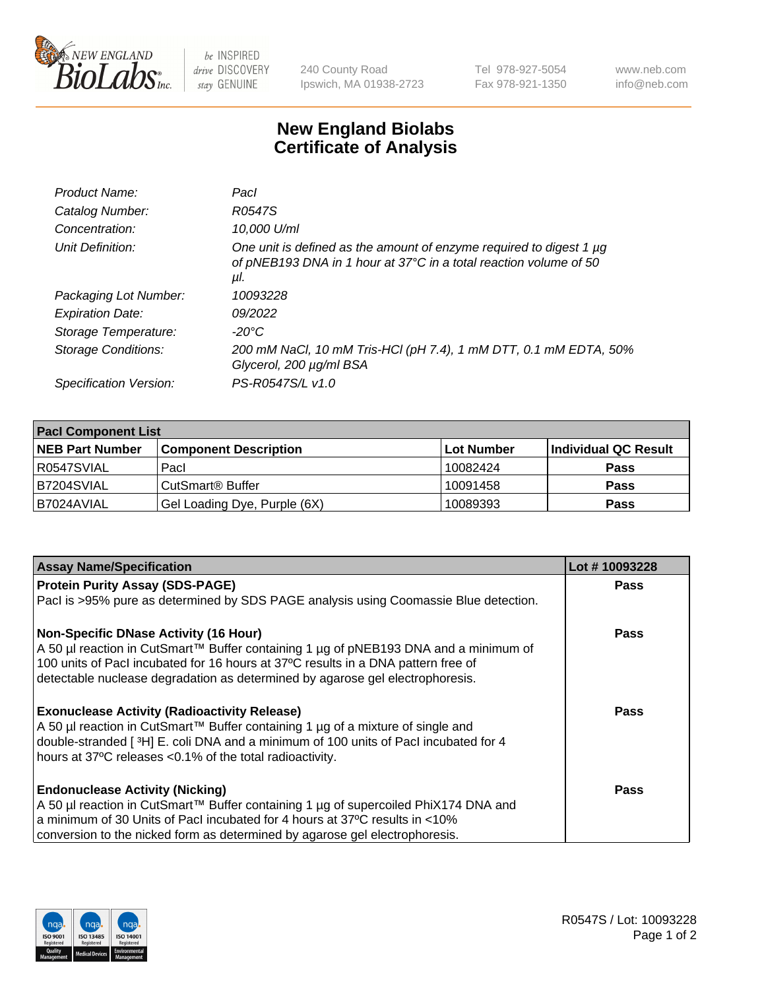

 $be$  INSPIRED drive DISCOVERY stay GENUINE

240 County Road Ipswich, MA 01938-2723 Tel 978-927-5054 Fax 978-921-1350 www.neb.com info@neb.com

## **New England Biolabs Certificate of Analysis**

| Product Name:           | Pacl                                                                                                                                            |
|-------------------------|-------------------------------------------------------------------------------------------------------------------------------------------------|
| Catalog Number:         | R0547S                                                                                                                                          |
| Concentration:          | 10,000 U/ml                                                                                                                                     |
| Unit Definition:        | One unit is defined as the amount of enzyme required to digest 1 µg<br>of pNEB193 DNA in 1 hour at 37°C in a total reaction volume of 50<br>μl. |
| Packaging Lot Number:   | 10093228                                                                                                                                        |
| <b>Expiration Date:</b> | 09/2022                                                                                                                                         |
| Storage Temperature:    | $-20^{\circ}$ C                                                                                                                                 |
| Storage Conditions:     | 200 mM NaCl, 10 mM Tris-HCl (pH 7.4), 1 mM DTT, 0.1 mM EDTA, 50%<br>Glycerol, 200 µg/ml BSA                                                     |
| Specification Version:  | PS-R0547S/L v1.0                                                                                                                                |

| <b>Pacl Component List</b> |                              |            |                      |  |  |
|----------------------------|------------------------------|------------|----------------------|--|--|
| <b>NEB Part Number</b>     | <b>Component Description</b> | Lot Number | Individual QC Result |  |  |
| R0547SVIAL                 | Pacl                         | 10082424   | <b>Pass</b>          |  |  |
| IB7204SVIAL                | l CutSmart® Buffer           | 10091458   | <b>Pass</b>          |  |  |
| IB7024AVIAL                | Gel Loading Dye, Purple (6X) | 10089393   | <b>Pass</b>          |  |  |

| <b>Assay Name/Specification</b>                                                      | Lot #10093228 |
|--------------------------------------------------------------------------------------|---------------|
| <b>Protein Purity Assay (SDS-PAGE)</b>                                               | <b>Pass</b>   |
| Pacl is >95% pure as determined by SDS PAGE analysis using Coomassie Blue detection. |               |
| <b>Non-Specific DNase Activity (16 Hour)</b>                                         | Pass          |
| A 50 µl reaction in CutSmart™ Buffer containing 1 µg of pNEB193 DNA and a minimum of |               |
| 100 units of PacI incubated for 16 hours at 37°C results in a DNA pattern free of    |               |
| detectable nuclease degradation as determined by agarose gel electrophoresis.        |               |
| <b>Exonuclease Activity (Radioactivity Release)</b>                                  | Pass          |
| A 50 µl reaction in CutSmart™ Buffer containing 1 µg of a mixture of single and      |               |
| double-stranded [3H] E. coli DNA and a minimum of 100 units of Pacl incubated for 4  |               |
| hours at 37°C releases <0.1% of the total radioactivity.                             |               |
| <b>Endonuclease Activity (Nicking)</b>                                               | Pass          |
| A 50 µl reaction in CutSmart™ Buffer containing 1 µg of supercoiled PhiX174 DNA and  |               |
| a minimum of 30 Units of Pacl incubated for 4 hours at 37°C results in <10%          |               |
| conversion to the nicked form as determined by agarose gel electrophoresis.          |               |